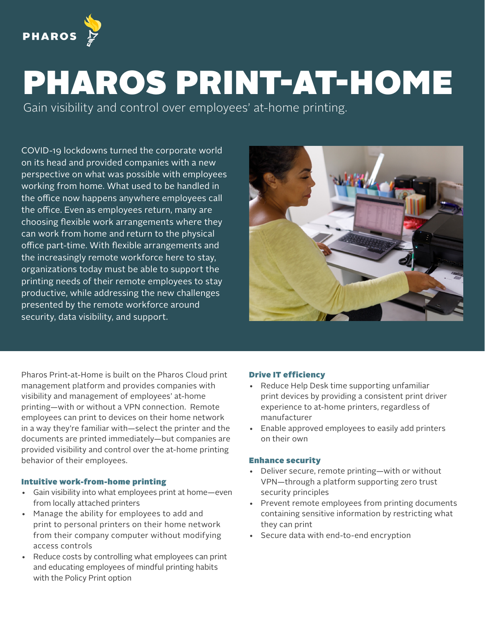

# PHAROS PRINT-AT-HOME

Gain visibility and control over employees' at-home printing.

COVID-19 lockdowns turned the corporate world on its head and provided companies with a new perspective on what was possible with employees working from home. What used to be handled in the office now happens anywhere employees call the office. Even as employees return, many are choosing flexible work arrangements where they can work from home and return to the physical office part-time. With flexible arrangements and the increasingly remote workforce here to stay, organizations today must be able to support the printing needs of their remote employees to stay productive, while addressing the new challenges presented by the remote workforce around security, data visibility, and support.



Pharos Print-at-Home is built on the Pharos Cloud print management platform and provides companies with visibility and management of employees' at-home printing—with or without a VPN connection. Remote employees can print to devices on their home network in a way they're familiar with—select the printer and the documents are printed immediately—but companies are provided visibility and control over the at-home printing behavior of their employees.

### Intuitive work-from-home printing

- Gain visibility into what employees print at home—even from locally attached printers
- Manage the ability for employees to add and print to personal printers on their home network from their company computer without modifying access controls
- Reduce costs by controlling what employees can print and educating employees of mindful printing habits with the Policy Print option

## Drive IT efficiency

- Reduce Help Desk time supporting unfamiliar print devices by providing a consistent print driver experience to at-home printers, regardless of manufacturer
- Enable approved employees to easily add printers on their own

#### Enhance security

- Deliver secure, remote printing—with or without VPN—through a platform supporting zero trust security principles
- Prevent remote employees from printing documents containing sensitive information by restricting what they can print
- Secure data with end-to-end encryption